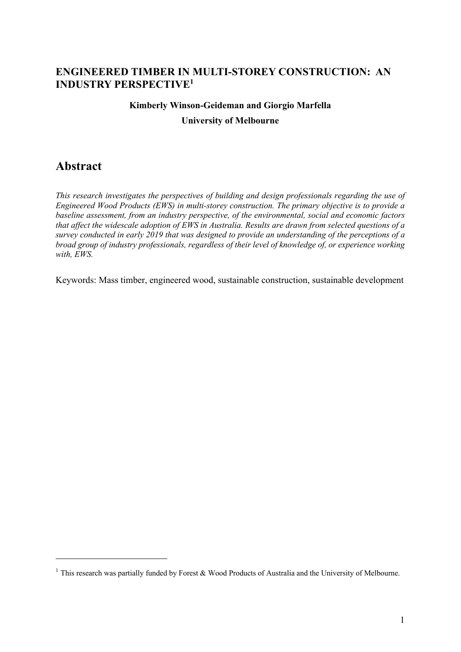### **ENGINEERED TIMBER IN MULTI-STOREY CONSTRUCTION: AN INDUSTRY PERSPECTIVE1**

# **Kimberly Winson-Geideman and Giorgio Marfella**

**University of Melbourne**

## **Abstract**

*This research investigates the perspectives of building and design professionals regarding the use of Engineered Wood Products (EWS) in multi-storey construction. The primary objective is to provide a baseline assessment, from an industry perspective, of the environmental, social and economic factors that affect the widescale adoption of EWS in Australia. Results are drawn from selected questions of a survey conducted in early 2019 that was designed to provide an understanding of the perceptions of a broad group of industry professionals, regardless of their level of knowledge of, or experience working with, EWS.* 

Keywords: Mass timber, engineered wood, sustainable construction, sustainable development

<sup>&</sup>lt;sup>1</sup> This research was partially funded by Forest & Wood Products of Australia and the University of Melbourne.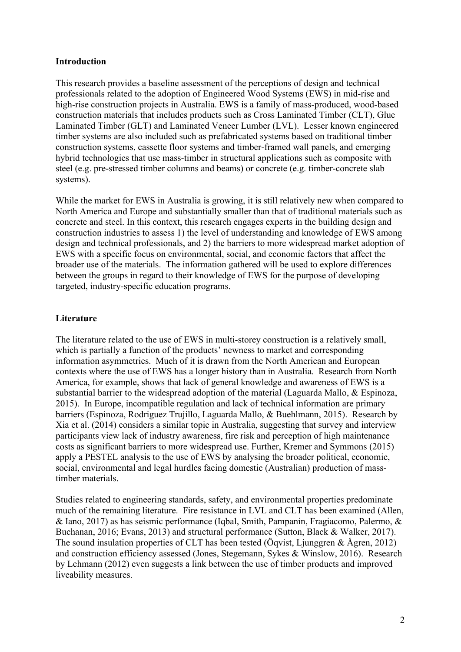#### **Introduction**

This research provides a baseline assessment of the perceptions of design and technical professionals related to the adoption of Engineered Wood Systems (EWS) in mid-rise and high-rise construction projects in Australia. EWS is a family of mass-produced, wood-based construction materials that includes products such as Cross Laminated Timber (CLT), Glue Laminated Timber (GLT) and Laminated Veneer Lumber (LVL). Lesser known engineered timber systems are also included such as prefabricated systems based on traditional timber construction systems, cassette floor systems and timber-framed wall panels, and emerging hybrid technologies that use mass-timber in structural applications such as composite with steel (e.g. pre-stressed timber columns and beams) or concrete (e.g. timber-concrete slab systems).

While the market for EWS in Australia is growing, it is still relatively new when compared to North America and Europe and substantially smaller than that of traditional materials such as concrete and steel. In this context, this research engages experts in the building design and construction industries to assess 1) the level of understanding and knowledge of EWS among design and technical professionals, and 2) the barriers to more widespread market adoption of EWS with a specific focus on environmental, social, and economic factors that affect the broader use of the materials. The information gathered will be used to explore differences between the groups in regard to their knowledge of EWS for the purpose of developing targeted, industry-specific education programs.

#### **Literature**

The literature related to the use of EWS in multi-storey construction is a relatively small, which is partially a function of the products' newness to market and corresponding information asymmetries. Much of it is drawn from the North American and European contexts where the use of EWS has a longer history than in Australia. Research from North America, for example, shows that lack of general knowledge and awareness of EWS is a substantial barrier to the widespread adoption of the material (Laguarda Mallo, & Espinoza, 2015). In Europe, incompatible regulation and lack of technical information are primary barriers (Espinoza, Rodriguez Trujillo, Laguarda Mallo, & Buehlmann, 2015). Research by Xia et al. (2014) considers a similar topic in Australia, suggesting that survey and interview participants view lack of industry awareness, fire risk and perception of high maintenance costs as significant barriers to more widespread use. Further, Kremer and Symmons (2015) apply a PESTEL analysis to the use of EWS by analysing the broader political, economic, social, environmental and legal hurdles facing domestic (Australian) production of masstimber materials.

Studies related to engineering standards, safety, and environmental properties predominate much of the remaining literature. Fire resistance in LVL and CLT has been examined (Allen, & Iano, 2017) as has seismic performance (Iqbal, Smith, Pampanin, Fragiacomo, Palermo, & Buchanan, 2016; Evans, 2013) and structural performance (Sutton, Black & Walker, 2017). The sound insulation properties of CLT has been tested (Öqvist, Ljunggren & Ågren, 2012) and construction efficiency assessed (Jones, Stegemann, Sykes & Winslow, 2016). Research by Lehmann (2012) even suggests a link between the use of timber products and improved liveability measures.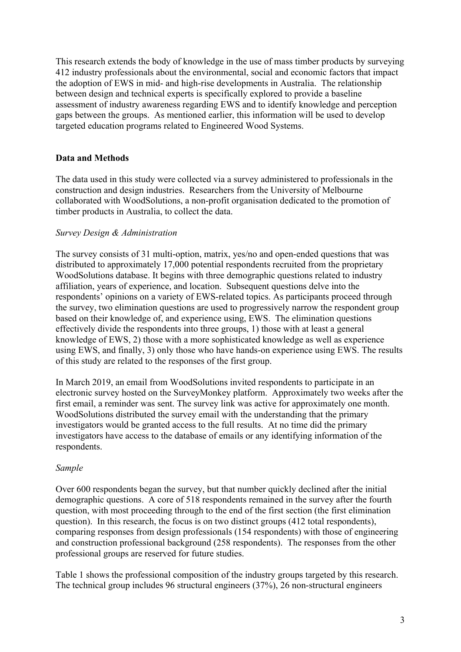This research extends the body of knowledge in the use of mass timber products by surveying 412 industry professionals about the environmental, social and economic factors that impact the adoption of EWS in mid- and high-rise developments in Australia. The relationship between design and technical experts is specifically explored to provide a baseline assessment of industry awareness regarding EWS and to identify knowledge and perception gaps between the groups. As mentioned earlier, this information will be used to develop targeted education programs related to Engineered Wood Systems.

#### **Data and Methods**

The data used in this study were collected via a survey administered to professionals in the construction and design industries. Researchers from the University of Melbourne collaborated with WoodSolutions, a non-profit organisation dedicated to the promotion of timber products in Australia, to collect the data.

#### *Survey Design & Administration*

The survey consists of 31 multi-option, matrix, yes/no and open-ended questions that was distributed to approximately 17,000 potential respondents recruited from the proprietary WoodSolutions database. It begins with three demographic questions related to industry affiliation, years of experience, and location. Subsequent questions delve into the respondents' opinions on a variety of EWS-related topics. As participants proceed through the survey, two elimination questions are used to progressively narrow the respondent group based on their knowledge of, and experience using, EWS. The elimination questions effectively divide the respondents into three groups, 1) those with at least a general knowledge of EWS, 2) those with a more sophisticated knowledge as well as experience using EWS, and finally, 3) only those who have hands-on experience using EWS. The results of this study are related to the responses of the first group.

In March 2019, an email from WoodSolutions invited respondents to participate in an electronic survey hosted on the SurveyMonkey platform. Approximately two weeks after the first email, a reminder was sent. The survey link was active for approximately one month. WoodSolutions distributed the survey email with the understanding that the primary investigators would be granted access to the full results. At no time did the primary investigators have access to the database of emails or any identifying information of the respondents.

#### *Sample*

Over 600 respondents began the survey, but that number quickly declined after the initial demographic questions. A core of 518 respondents remained in the survey after the fourth question, with most proceeding through to the end of the first section (the first elimination question). In this research, the focus is on two distinct groups (412 total respondents), comparing responses from design professionals (154 respondents) with those of engineering and construction professional background (258 respondents). The responses from the other professional groups are reserved for future studies.

Table 1 shows the professional composition of the industry groups targeted by this research. The technical group includes 96 structural engineers (37%), 26 non-structural engineers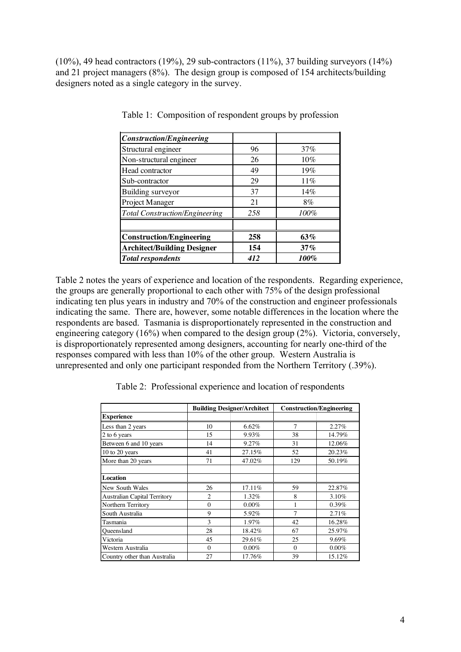(10%), 49 head contractors (19%), 29 sub-contractors (11%), 37 building surveyors (14%) and 21 project managers (8%). The design group is composed of 154 architects/building designers noted as a single category in the survey.

| <b>Construction/Engineering</b>       |     |      |
|---------------------------------------|-----|------|
| Structural engineer                   | 96  | 37%  |
| Non-structural engineer               | 26  | 10%  |
| Head contractor                       | 49  | 19%  |
| Sub-contractor                        | 29  | 11%  |
| Building surveyor                     | 37  | 14%  |
| Project Manager                       | 21  | 8%   |
| <b>Total Construction/Engineering</b> | 258 | 100% |
| <b>Construction/Engineering</b>       | 258 | 63%  |
| <b>Architect/Building Designer</b>    | 154 | 37%  |
| <b>Total respondents</b>              | 412 | 100% |

Table 1: Composition of respondent groups by profession

Table 2 notes the years of experience and location of the respondents. Regarding experience, the groups are generally proportional to each other with 75% of the design professional indicating ten plus years in industry and 70% of the construction and engineer professionals indicating the same. There are, however, some notable differences in the location where the respondents are based. Tasmania is disproportionately represented in the construction and engineering category (16%) when compared to the design group (2%). Victoria, conversely, is disproportionately represented among designers, accounting for nearly one-third of the responses compared with less than 10% of the other group. Western Australia is unrepresented and only one participant responded from the Northern Territory (.39%).

Table 2: Professional experience and location of respondents

|                                     | <b>Building Designer/Architect</b> |          | <b>Construction/Engineering</b> |          |
|-------------------------------------|------------------------------------|----------|---------------------------------|----------|
| <b>Experience</b>                   |                                    |          |                                 |          |
| Less than 2 years                   | 10                                 | 6.62%    | 7                               | 2.27%    |
| 2 to 6 years                        | 15                                 | 9.93%    | 38                              | 14.79%   |
| Between 6 and 10 years              | 14                                 | 9.27%    | 31                              | 12.06%   |
| 10 to 20 years                      | 41                                 | 27.15%   | 52                              | 20.23%   |
| More than 20 years                  | 71                                 | 47.02%   | 129                             | 50.19%   |
|                                     |                                    |          |                                 |          |
| Location                            |                                    |          |                                 |          |
| New South Wales                     | 26                                 | 17.11%   | 59                              | 22.87%   |
| <b>Australian Capital Territory</b> | $\overline{c}$                     | 1.32%    | 8                               | 3.10%    |
| Northern Territory                  | $\theta$                           | $0.00\%$ | 1                               | $0.39\%$ |
| South Australia                     | 9                                  | 5.92%    | 7                               | 2.71%    |
| Tasmania                            | 3                                  | 1.97%    | 42                              | 16.28%   |
| Queensland                          | 28                                 | 18.42%   | 67                              | 25.97%   |
| Victoria                            | 45                                 | 29.61%   | 25                              | 9.69%    |
| Western Australia                   | $\Omega$                           | $0.00\%$ | $\Omega$                        | $0.00\%$ |
| Country other than Australia        | 27                                 | 17.76%   | 39                              | 15.12%   |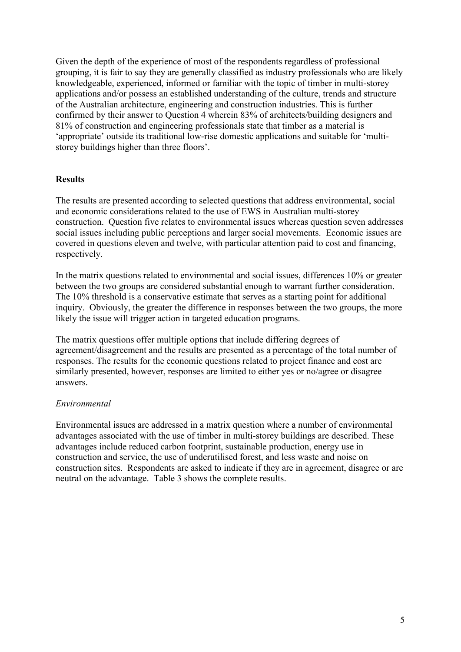Given the depth of the experience of most of the respondents regardless of professional grouping, it is fair to say they are generally classified as industry professionals who are likely knowledgeable, experienced, informed or familiar with the topic of timber in multi-storey applications and/or possess an established understanding of the culture, trends and structure of the Australian architecture, engineering and construction industries. This is further confirmed by their answer to Question 4 wherein 83% of architects/building designers and 81% of construction and engineering professionals state that timber as a material is 'appropriate' outside its traditional low-rise domestic applications and suitable for 'multistorey buildings higher than three floors'.

#### **Results**

The results are presented according to selected questions that address environmental, social and economic considerations related to the use of EWS in Australian multi-storey construction. Question five relates to environmental issues whereas question seven addresses social issues including public perceptions and larger social movements. Economic issues are covered in questions eleven and twelve, with particular attention paid to cost and financing, respectively.

In the matrix questions related to environmental and social issues, differences 10% or greater between the two groups are considered substantial enough to warrant further consideration. The 10% threshold is a conservative estimate that serves as a starting point for additional inquiry. Obviously, the greater the difference in responses between the two groups, the more likely the issue will trigger action in targeted education programs.

The matrix questions offer multiple options that include differing degrees of agreement/disagreement and the results are presented as a percentage of the total number of responses. The results for the economic questions related to project finance and cost are similarly presented, however, responses are limited to either yes or no/agree or disagree answers.

#### *Environmental*

Environmental issues are addressed in a matrix question where a number of environmental advantages associated with the use of timber in multi-storey buildings are described. These advantages include reduced carbon footprint, sustainable production, energy use in construction and service, the use of underutilised forest, and less waste and noise on construction sites. Respondents are asked to indicate if they are in agreement, disagree or are neutral on the advantage. Table 3 shows the complete results.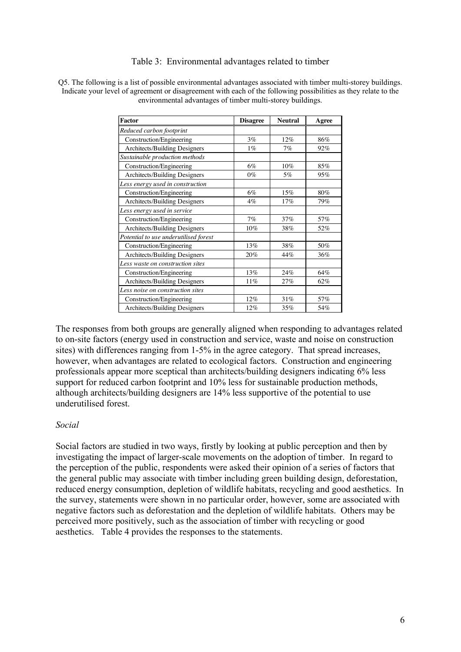#### Table 3: Environmental advantages related to timber

Q5. The following is a list of possible environmental advantages associated with timber multi-storey buildings. Indicate your level of agreement or disagreement with each of the following possibilities as they relate to the environmental advantages of timber multi-storey buildings.

| Factor                                | <b>Disagree</b> | <b>Neutral</b> | Agree |
|---------------------------------------|-----------------|----------------|-------|
| Reduced carbon footprint              |                 |                |       |
| Construction/Engineering              | 3%              | 12%            | 86%   |
| <b>Architects/Building Designers</b>  | $1\%$           | 7%             | 92%   |
| Sustainable production methods        |                 |                |       |
| Construction/Engineering              | 6%              | 10%            | 85%   |
| Architects/Building Designers         | $0\%$           | 5%             | 95%   |
| Less energy used in construction      |                 |                |       |
| Construction/Engineering              | 6%              | 15%            | 80%   |
| Architects/Building Designers         | $4\%$           | 17%            | 79%   |
| Less energy used in service           |                 |                |       |
| Construction/Engineering              | 7%              | 37%            | 57%   |
| Architects/Building Designers         | $10\%$          | 38%            | 52%   |
| Potential to use underutilised forest |                 |                |       |
| Construction/Engineering              | 13%             | 38%            | 50%   |
| Architects/Building Designers         | 20%             | 44%            | 36%   |
| Less waste on construction sites      |                 |                |       |
| Construction/Engineering              | 13%             | 24%            | 64%   |
| Architects/Building Designers         | 11%             | 27%            | 62%   |
| Less noise on construction sites      |                 |                |       |
| Construction/Engineering              | 12%             | 31%            | 57%   |
| Architects/Building Designers         | 12%             | 35%            | 54%   |

The responses from both groups are generally aligned when responding to advantages related to on-site factors (energy used in construction and service, waste and noise on construction sites) with differences ranging from 1-5% in the agree category. That spread increases, however, when advantages are related to ecological factors. Construction and engineering professionals appear more sceptical than architects/building designers indicating 6% less support for reduced carbon footprint and 10% less for sustainable production methods, although architects/building designers are 14% less supportive of the potential to use underutilised forest.

#### *Social*

Social factors are studied in two ways, firstly by looking at public perception and then by investigating the impact of larger-scale movements on the adoption of timber. In regard to the perception of the public, respondents were asked their opinion of a series of factors that the general public may associate with timber including green building design, deforestation, reduced energy consumption, depletion of wildlife habitats, recycling and good aesthetics. In the survey, statements were shown in no particular order, however, some are associated with negative factors such as deforestation and the depletion of wildlife habitats. Others may be perceived more positively, such as the association of timber with recycling or good aesthetics. Table 4 provides the responses to the statements.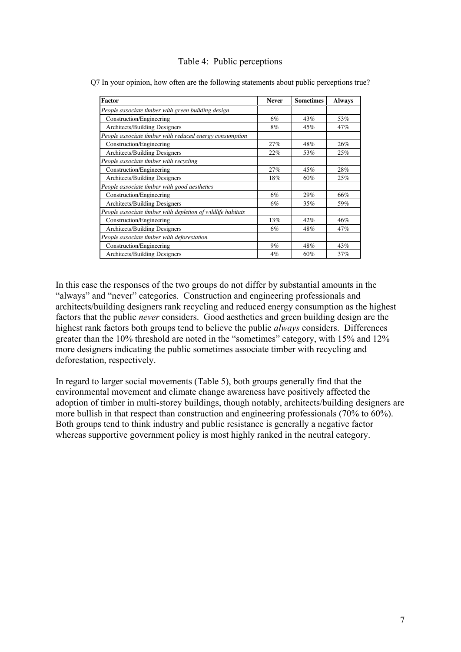#### Table 4: Public perceptions

| Factor                                                      | <b>Never</b> | <b>Sometimes</b> | <b>Always</b> |
|-------------------------------------------------------------|--------------|------------------|---------------|
| People associate timber with green building design          |              |                  |               |
| Construction/Engineering                                    | 6%           | 43%              | 53%           |
| Architects/Building Designers                               | 8%           | 45%              | 47%           |
| People associate timber with reduced energy consumption     |              |                  |               |
| Construction/Engineering                                    | 27%          | 48%              | 26%           |
| Architects/Building Designers                               | 22%          | 53%              | 25%           |
| People associate timber with recycling                      |              |                  |               |
| Construction/Engineering                                    | 27%          | 45%              | 28%           |
| Architects/Building Designers                               | 18%          | 60%              | 25%           |
| People associate timber with good aesthetics                |              |                  |               |
| Construction/Engineering                                    | 6%           | 29%              | 66%           |
| Architects/Building Designers                               | 6%           | 35%              | 59%           |
| People associate timber with depletion of wildlife habitats |              |                  |               |
| Construction/Engineering                                    | 13%          | 42%              | 46%           |
| Architects/Building Designers                               | 6%           | 48%              | 47%           |
| People associate timber with deforestation                  |              |                  |               |
| Construction/Engineering                                    | $9\%$        | 48%              | 43%           |
| Architects/Building Designers                               | $4\%$        | 60%              | 37%           |

In this case the responses of the two groups do not differ by substantial amounts in the "always" and "never" categories. Construction and engineering professionals and architects/building designers rank recycling and reduced energy consumption as the highest factors that the public *never* considers. Good aesthetics and green building design are the highest rank factors both groups tend to believe the public *always* considers. Differences greater than the 10% threshold are noted in the "sometimes" category, with 15% and 12% more designers indicating the public sometimes associate timber with recycling and deforestation, respectively.

In regard to larger social movements (Table 5), both groups generally find that the environmental movement and climate change awareness have positively affected the adoption of timber in multi-storey buildings, though notably, architects/building designers are more bullish in that respect than construction and engineering professionals (70% to 60%). Both groups tend to think industry and public resistance is generally a negative factor whereas supportive government policy is most highly ranked in the neutral category.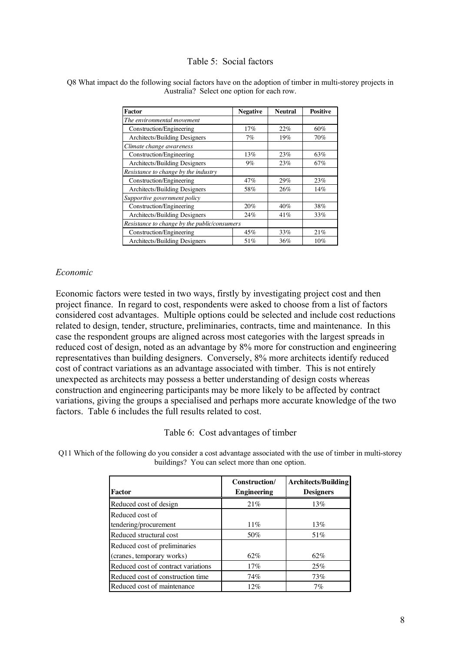#### Table 5: Social factors

| Factor                                       | <b>Negative</b> | <b>Neutral</b> | <b>Positive</b> |
|----------------------------------------------|-----------------|----------------|-----------------|
| The environmental movement                   |                 |                |                 |
| Construction/Engineering                     | 17%             | 22%            | 60%             |
| Architects/Building Designers                | 7%              | 19%            | 70%             |
| Climate change awareness                     |                 |                |                 |
| Construction/Engineering                     | 13%             | 23%            | 63%             |
| Architects/Building Designers                | $9\%$           | 23%            | 67%             |
| Resistance to change by the industry         |                 |                |                 |
| Construction/Engineering                     | 47%             | 29%            | 23%             |
| Architects/Building Designers                | 58%             | 26%            | 14%             |
| Supportive government policy                 |                 |                |                 |
| Construction/Engineering                     | 20%             | 40%            | 38%             |
| Architects/Building Designers                | 24%             | 41%            | 33%             |
| Resistance to change by the public/consumers |                 |                |                 |
| Construction/Engineering                     | 45%             | 33%            | 21%             |
| Architects/Building Designers                | 51%             | 36%            | $10\%$          |

#### Q8 What impact do the following social factors have on the adoption of timber in multi-storey projects in Australia? Select one option for each row.

#### *Economic*

Economic factors were tested in two ways, firstly by investigating project cost and then project finance. In regard to cost, respondents were asked to choose from a list of factors considered cost advantages. Multiple options could be selected and include cost reductions related to design, tender, structure, preliminaries, contracts, time and maintenance. In this case the respondent groups are aligned across most categories with the largest spreads in reduced cost of design, noted as an advantage by 8% more for construction and engineering representatives than building designers. Conversely, 8% more architects identify reduced cost of contract variations as an advantage associated with timber. This is not entirely unexpected as architects may possess a better understanding of design costs whereas construction and engineering participants may be more likely to be affected by contract variations, giving the groups a specialised and perhaps more accurate knowledge of the two factors. Table 6 includes the full results related to cost.

Table 6: Cost advantages of timber

Q11 Which of the following do you consider a cost advantage associated with the use of timber in multi-storey buildings? You can select more than one option.

|                                     | Construction/      | <b>Architects/Building</b> |
|-------------------------------------|--------------------|----------------------------|
| Factor                              | <b>Engineering</b> | <b>Designers</b>           |
| Reduced cost of design              | 21%                | 13%                        |
| Reduced cost of                     |                    |                            |
| tendering/procurement               | $11\%$             | 13%                        |
| Reduced structural cost             | 50%                | 51%                        |
| Reduced cost of preliminaries       |                    |                            |
| (cranes, temporary works)           | 62%                | 62%                        |
| Reduced cost of contract variations | 17%                | 25%                        |
| Reduced cost of construction time   | 74%                | 73%                        |
| Reduced cost of maintenance         | 12%                | $7\%$                      |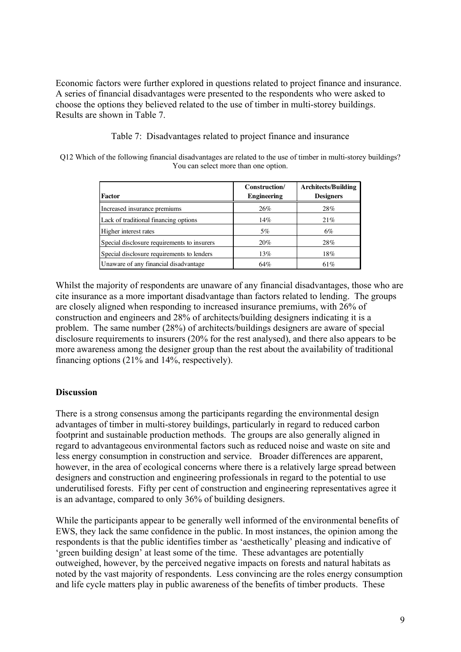Economic factors were further explored in questions related to project finance and insurance. A series of financial disadvantages were presented to the respondents who were asked to choose the options they believed related to the use of timber in multi-storey buildings. Results are shown in Table 7.

#### Table 7: Disadvantages related to project finance and insurance

Q12 Which of the following financial disadvantages are related to the use of timber in multi-storey buildings? You can select more than one option.

| Factor                                      | Construction/<br><b>Engineering</b> | <b>Architects/Building</b><br><b>Designers</b> |
|---------------------------------------------|-------------------------------------|------------------------------------------------|
| Increased insurance premiums                | 26%                                 | 28%                                            |
| Lack of traditional financing options       | 14%                                 | 21%                                            |
| Higher interest rates                       | 5%                                  | 6%                                             |
| Special disclosure requirements to insurers | 20%                                 | 28%                                            |
| Special disclosure requirements to lenders  | 13%                                 | 18%                                            |
| Unaware of any financial disadvantage       | 64%                                 | 61\%                                           |

Whilst the majority of respondents are unaware of any financial disadvantages, those who are cite insurance as a more important disadvantage than factors related to lending. The groups are closely aligned when responding to increased insurance premiums, with 26% of construction and engineers and 28% of architects/building designers indicating it is a problem. The same number (28%) of architects/buildings designers are aware of special disclosure requirements to insurers (20% for the rest analysed), and there also appears to be more awareness among the designer group than the rest about the availability of traditional financing options (21% and 14%, respectively).

#### **Discussion**

There is a strong consensus among the participants regarding the environmental design advantages of timber in multi-storey buildings, particularly in regard to reduced carbon footprint and sustainable production methods. The groups are also generally aligned in regard to advantageous environmental factors such as reduced noise and waste on site and less energy consumption in construction and service. Broader differences are apparent, however, in the area of ecological concerns where there is a relatively large spread between designers and construction and engineering professionals in regard to the potential to use underutilised forests. Fifty per cent of construction and engineering representatives agree it is an advantage, compared to only 36% of building designers.

While the participants appear to be generally well informed of the environmental benefits of EWS, they lack the same confidence in the public. In most instances, the opinion among the respondents is that the public identifies timber as 'aesthetically' pleasing and indicative of 'green building design' at least some of the time. These advantages are potentially outweighed, however, by the perceived negative impacts on forests and natural habitats as noted by the vast majority of respondents. Less convincing are the roles energy consumption and life cycle matters play in public awareness of the benefits of timber products. These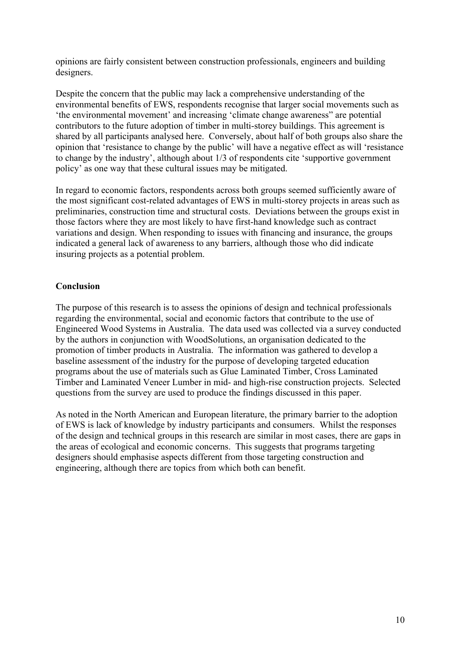opinions are fairly consistent between construction professionals, engineers and building designers.

Despite the concern that the public may lack a comprehensive understanding of the environmental benefits of EWS, respondents recognise that larger social movements such as 'the environmental movement' and increasing 'climate change awareness" are potential contributors to the future adoption of timber in multi-storey buildings. This agreement is shared by all participants analysed here. Conversely, about half of both groups also share the opinion that 'resistance to change by the public' will have a negative effect as will 'resistance to change by the industry', although about 1/3 of respondents cite 'supportive government policy' as one way that these cultural issues may be mitigated.

In regard to economic factors, respondents across both groups seemed sufficiently aware of the most significant cost-related advantages of EWS in multi-storey projects in areas such as preliminaries, construction time and structural costs. Deviations between the groups exist in those factors where they are most likely to have first-hand knowledge such as contract variations and design. When responding to issues with financing and insurance, the groups indicated a general lack of awareness to any barriers, although those who did indicate insuring projects as a potential problem.

#### **Conclusion**

The purpose of this research is to assess the opinions of design and technical professionals regarding the environmental, social and economic factors that contribute to the use of Engineered Wood Systems in Australia. The data used was collected via a survey conducted by the authors in conjunction with WoodSolutions, an organisation dedicated to the promotion of timber products in Australia. The information was gathered to develop a baseline assessment of the industry for the purpose of developing targeted education programs about the use of materials such as Glue Laminated Timber, Cross Laminated Timber and Laminated Veneer Lumber in mid- and high-rise construction projects. Selected questions from the survey are used to produce the findings discussed in this paper.

As noted in the North American and European literature, the primary barrier to the adoption of EWS is lack of knowledge by industry participants and consumers. Whilst the responses of the design and technical groups in this research are similar in most cases, there are gaps in the areas of ecological and economic concerns. This suggests that programs targeting designers should emphasise aspects different from those targeting construction and engineering, although there are topics from which both can benefit.